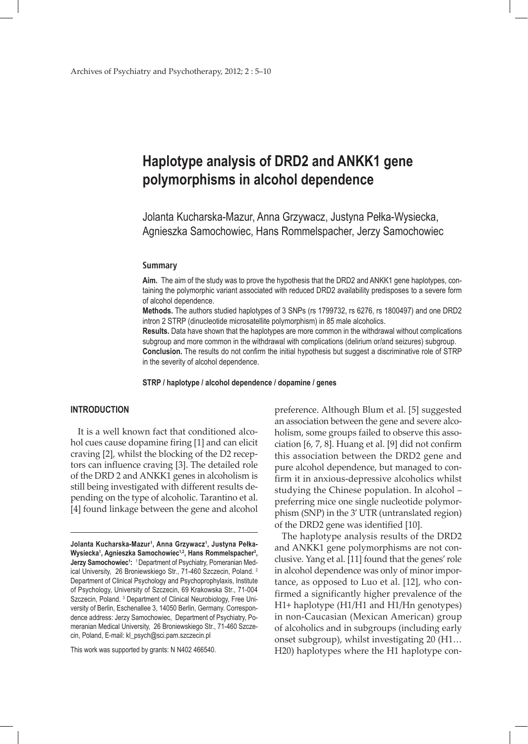# **Haplotype analysis of DRD2 and ANKK1 gene polymorphisms in alcohol dependence**

Jolanta Kucharska-Mazur, Anna Grzywacz, Justyna Pełka-Wysiecka, Agnieszka Samochowiec, Hans Rommelspacher, Jerzy Samochowiec

#### **Summary**

**Aim.** The aim of the study was to prove the hypothesis that the DRD2 and ANKK1 gene haplotypes, containing the polymorphic variant associated with reduced DRD2 availability predisposes to a severe form of alcohol dependence.

**Methods.** The authors studied haplotypes of 3 SNPs (rs 1799732, rs 6276, rs 1800497) and one DRD2 intron 2 STRP (dinucleotide microsatellite polymorphism) in 85 male alcoholics.

**Results.** Data have shown that the haplotypes are more common in the withdrawal without complications subgroup and more common in the withdrawal with complications (delirium or/and seizures) subgroup. **Conclusion.** The results do not confirm the initial hypothesis but suggest a discriminative role of STRP in the severity of alcohol dependence.

**STRP / haplotype / alcohol dependence / dopamine / genes**

## **INTRODUCTION**

It is a well known fact that conditioned alcohol cues cause dopamine firing [1] and can elicit craving [2], whilst the blocking of the D2 receptors can influence craving [3]. The detailed role of the DRD 2 and ANKK1 genes in alcoholism is still being investigated with different results depending on the type of alcoholic. Tarantino et al. [4] found linkage between the gene and alcohol

This work was supported by grants: N N402 466540.

preference. Although Blum et al. [5] suggested an association between the gene and severe alcoholism, some groups failed to observe this association [6, 7, 8]. Huang et al. [9] did not confirm this association between the DRD2 gene and pure alcohol dependence, but managed to confirm it in anxious-depressive alcoholics whilst studying the Chinese population. In alcohol – preferring mice one single nucleotide polymorphism (SNP) in the 3' UTR (untranslated region) of the DRD2 gene was identified [10].

The haplotype analysis results of the DRD2 and ANKK1 gene polymorphisms are not conclusive. Yang et al. [11] found that the genes' role in alcohol dependence was only of minor importance, as opposed to Luo et al. [12], who confirmed a significantly higher prevalence of the H1+ haplotype (H1/H1 and H1/Hn genotypes) in non-Caucasian (Mexican American) group of alcoholics and in subgroups (including early onset subgroup), whilst investigating 20 (H1… H20) haplotypes where the H1 haplotype con-

**Jolanta Kucharska-Mazur1 , Anna Grzywacz1 , Justyna Pełka-**Wysiecka<sup>1</sup>, Agnieszka Samochowiec<sup>1,2</sup>, Hans Rommelspacher<sup>3</sup>, **Jerzy Samochowiec<sup>1</sup>:** 1Department of Psychiatry, Pomeranian Medical University, 26 Broniewskiego Str., 71-460 Szczecin, Poland. <sup>2</sup> Department of Clinical Psychology and Psychoprophylaxis, Institute of Psychology, University of Szczecin, 69 Krakowska Str., 71-004 Szczecin, Poland.<sup>3</sup> Department of Clinical Neurobiology, Free University of Berlin, Eschenallee 3, 14050 Berlin, Germany. Correspondence address: Jerzy Samochowiec, Department of Psychiatry, Pomeranian Medical University, 26 Broniewskiego Str., 71-460 Szczecin, Poland, E-mail: kl\_psych@sci.pam.szczecin.pl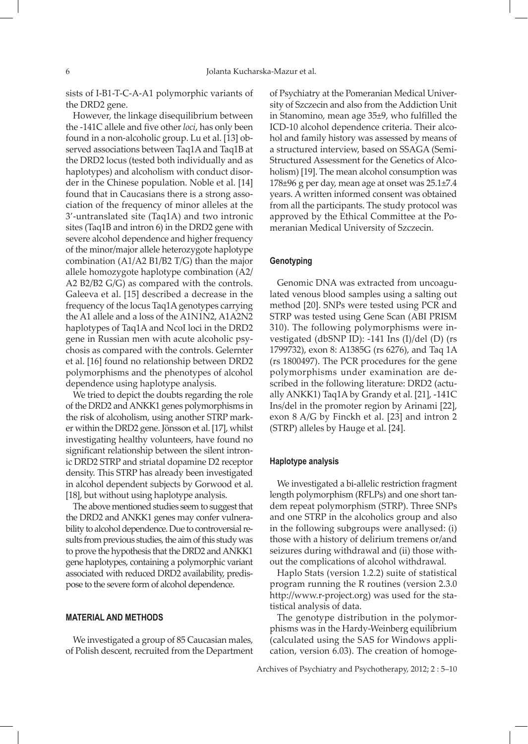sists of I-B1-T-C-A-A1 polymorphic variants of the DRD2 gene.

However, the linkage disequilibrium between the -141C allele and five other *loci*, has only been found in a non-alcoholic group. Lu et al. [13] observed associations between Taq1A and Taq1B at the DRD2 locus (tested both individually and as haplotypes) and alcoholism with conduct disorder in the Chinese population. Noble et al. [14] found that in Caucasians there is a strong association of the frequency of minor alleles at the 3'-untranslated site (Taq1A) and two intronic sites (Taq1B and intron 6) in the DRD2 gene with severe alcohol dependence and higher frequency of the minor/major allele heterozygote haplotype combination (A1/A2 B1/B2 T/G) than the major allele homozygote haplotype combination (A2/ A2 B2/B2 G/G) as compared with the controls. Galeeva et al. [15] described a decrease in the frequency of the locus Taq1A genotypes carrying the A1 allele and a loss of the A1N1N2, A1A2N2 haplotypes of Taq1A and NcoI loci in the DRD2 gene in Russian men with acute alcoholic psychosis as compared with the controls. Gelernter et al. [16] found no relationship between DRD2 polymorphisms and the phenotypes of alcohol dependence using haplotype analysis.

We tried to depict the doubts regarding the role of the DRD2 and ANKK1 genes polymorphisms in the risk of alcoholism, using another STRP marker within the DRD2 gene. Jönsson et al. [17], whilst investigating healthy volunteers, have found no significant relationship between the silent intronic DRD2 STRP and striatal dopamine D2 receptor density. This STRP has already been investigated in alcohol dependent subjects by Gorwood et al. [18], but without using haplotype analysis.

The above mentioned studies seem to suggest that the DRD2 and ANKK1 genes may confer vulnerability to alcohol dependence. Due to controversial results from previous studies, the aim of this study was to prove the hypothesis that the DRD2 and ANKK1 gene haplotypes, containing a polymorphic variant associated with reduced DRD2 availability, predispose to the severe form of alcohol dependence.

#### **MATERIAL AND METHODS**

We investigated a group of 85 Caucasian males, of Polish descent, recruited from the Department of Psychiatry at the Pomeranian Medical University of Szczecin and also from the Addiction Unit in Stanomino, mean age 35±9, who fulfilled the ICD-10 alcohol dependence criteria. Their alcohol and family history was assessed by means of a structured interview, based on SSAGA (Semi-Structured Assessment for the Genetics of Alcoholism) [19]. The mean alcohol consumption was 178±96 g per day, mean age at onset was 25.1±7.4 years. A written informed consent was obtained from all the participants. The study protocol was approved by the Ethical Committee at the Pomeranian Medical University of Szczecin.

## **Genotyping**

Genomic DNA was extracted from uncoagulated venous blood samples using a salting out method [20]. SNPs were tested using PCR and STRP was tested using Gene Scan (ABI PRISM 310). The following polymorphisms were investigated (dbSNP ID): -141 Ins (I)/del (D) (rs 1799732), exon 8: A1385G (rs 6276), and Taq 1A (rs 1800497). The PCR procedures for the gene polymorphisms under examination are described in the following literature: DRD2 (actually ANKK1) Taq1A by Grandy et al. [21], -141C Ins/del in the promoter region by Arinami [22], exon 8 A/G by Finckh et al. [23] and intron 2 (STRP) alleles by Hauge et al. [24].

#### **Haplotype analysis**

We investigated a bi-allelic restriction fragment length polymorphism (RFLPs) and one short tandem repeat polymorphism (STRP). Three SNPs and one STRP in the alcoholics group and also in the following subgroups were anallysed: (i) those with a history of delirium tremens or/and seizures during withdrawal and (ii) those without the complications of alcohol withdrawal.

Haplo Stats (version 1.2.2) suite of statistical program running the R routines (version 2.3.0 http://www.r-project.org) was used for the statistical analysis of data.

The genotype distribution in the polymorphisms was in the Hardy-Weinberg equilibrium (calculated using the SAS for Windows application, version 6.03). The creation of homoge-

Archives of Psychiatry and Psychotherapy, 2012; 2 : 5–10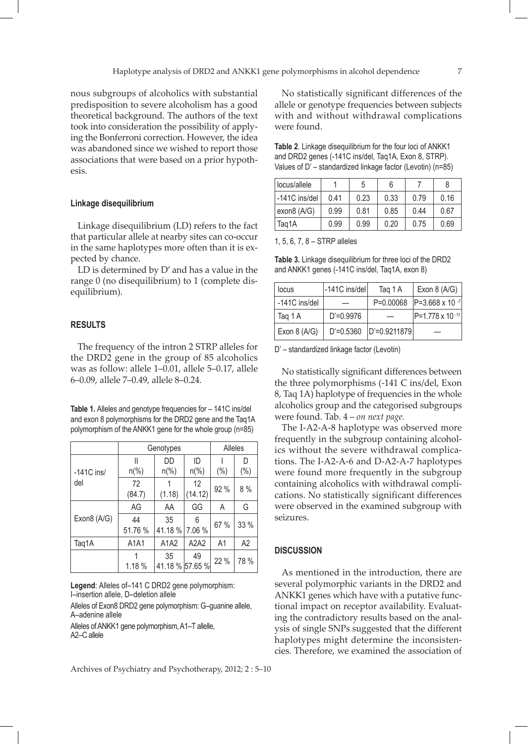nous subgroups of alcoholics with substantial predisposition to severe alcoholism has a good theoretical background. The authors of the text took into consideration the possibility of applying the Bonferroni correction. However, the idea was abandoned since we wished to report those associations that were based on a prior hypothesis.

#### **Linkage disequilibrium**

Linkage disequilibrium (LD) refers to the fact that particular allele at nearby sites can co-occur in the same haplotypes more often than it is expected by chance.

LD is determined by D' and has a value in the range 0 (no disequilibrium) to 1 (complete disequilibrium).

#### **RESULTS**

The frequency of the intron 2 STRP alleles for the DRD2 gene in the group of 85 alcoholics was as follow: allele 1–0.01, allele 5–0.17, allele 6–0.09, allele 7–0.49, allele 8–0.24.

**Table 1.** Alleles and genotype frequencies for – 141C ins/del and exon 8 polymorphisms for the DRD2 gene and the Taq1A polymorphism of the ANKK1 gene for the whole group (n=85)

|              | Genotypes      | Alleles                          |                                       |      |      |
|--------------|----------------|----------------------------------|---------------------------------------|------|------|
|              | Ш              | DD                               | ID                                    |      | D    |
| $-141C$ ins/ | $n\frac{0}{0}$ | $n\frac{0}{0}$<br>$n\frac{0}{0}$ |                                       | (% ) | (%)  |
| del          | 72<br>(84.7)   | (1.18)                           | 12<br>92 %<br>(14.12)                 |      | 8%   |
| Exon8 (A/G)  | AG             | GG<br>AA                         |                                       | Α    | G    |
|              | 44<br>51.76 %  | 35<br>41.18%                     | 6<br>7.06 %                           | 67 % | 33 % |
| Taq1A        | A1A1           |                                  | A <sub>2</sub> A <sub>2</sub><br>A1A2 |      | A2   |
|              | 1.18%          | 35<br>41.18 % 57.65 %            | 49                                    | 22 % | 78 % |

**Legend**: Alleles of–141 C DRD2 gene polymorphism: I–insertion allele, D–deletion allele

Alleles of Exon8 DRD2 gene polymorphism: G–guanine allele, A–adenine allele

Alleles of ANKK1 gene polymorphism, A1–T allelle, A2–C allele

No statistically significant differences of the allele or genotype frequencies between subjects with and without withdrawal complications were found.

**Table 2**. Linkage disequilibrium for the four loci of ANKK1 and DRD2 genes (-141C ins/del, Taq1A, Exon 8, STRP). Values of D' – standardized linkage factor (Levotin) (n=85)

| l locus/allele  |      | 5    | 6    |      |      |
|-----------------|------|------|------|------|------|
| l -141C ins/del | 0.41 | 0.23 | 0.33 | 0.79 | 0.16 |
| exon8 (A/G)     | 0.99 | 0.81 | 0.85 | 0.44 | 0.67 |
| Taq1A           | 0.99 | 0.99 | 0.20 | 0.75 | 0.69 |

1, 5, 6, 7, 8 – STRP alleles

**Table 3.** Linkage disequilibrium for three loci of the DRD2 and ANKK1 genes (-141C ins/del, Taq1A, exon 8)

| locus         | -141C ins/del | Taq 1 A          | Exon $8(A/G)$               |
|---------------|---------------|------------------|-----------------------------|
| -141C ins/del |               | $P=0.00068$      | $ P=3.668 \times 10^{-7} $  |
| Taq 1 A       | $D'=0.9976$   |                  | $ P=1.778 \times 10^{-11} $ |
| Exon $8(A/G)$ | $D' = 0.5360$ | $ D'=0.9211879 $ |                             |

D' – standardized linkage factor (Levotin)

No statistically significant differences between the three polymorphisms (-141 C ins/del, Exon 8, Taq 1A) haplotype of frequencies in the whole alcoholics group and the categorised subgroups were found. Tab. 4 – *on next page.*

The I-A2-A-8 haplotype was observed more frequently in the subgroup containing alcoholics without the severe withdrawal complications. The I-A2-A-6 and D-A2-A-7 haplotypes were found more frequently in the subgroup containing alcoholics with withdrawal complications. No statistically significant differences were observed in the examined subgroup with seizures.

#### **DISCUSSION**

As mentioned in the introduction, there are several polymorphic variants in the DRD2 and ANKK1 genes which have with a putative functional impact on receptor availability. Evaluating the contradictory results based on the analysis of single SNPs suggested that the different haplotypes might determine the inconsistencies. Therefore, we examined the association of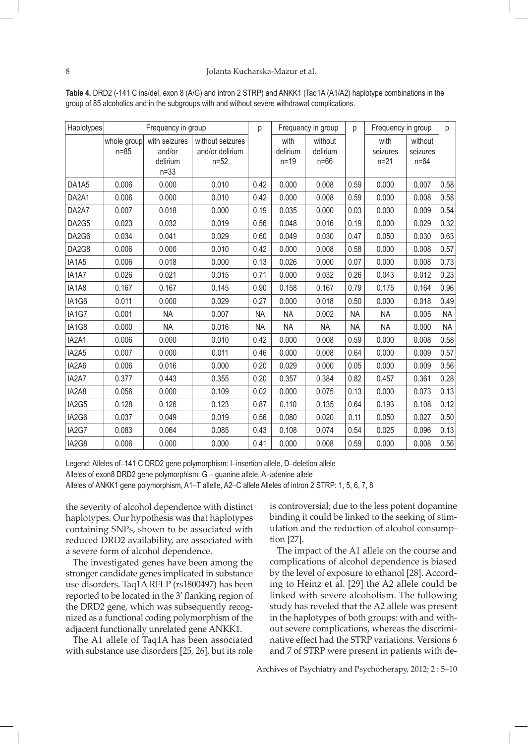| Haplotypes | Frequency in group    |                                                 |                                               | Frequency in group<br>p |                              | p                             | Frequency in group |                              | p                             |           |
|------------|-----------------------|-------------------------------------------------|-----------------------------------------------|-------------------------|------------------------------|-------------------------------|--------------------|------------------------------|-------------------------------|-----------|
|            | whole group<br>$n=85$ | with seizures<br>and/or<br>delirium<br>$n = 33$ | without seizures<br>and/or delirium<br>$n=52$ |                         | with<br>delirium<br>$n = 19$ | without<br>delirium<br>$n=66$ |                    | with<br>seizures<br>$n = 21$ | without<br>seizures<br>$n=64$ |           |
| DA1A5      | 0.006                 | 0.000                                           | 0.010                                         | 0.42                    | 0.000                        | 0.008                         | 0.59               | 0.000                        | 0.007                         | 0.58      |
| DA2A1      | 0.006                 | 0.000                                           | 0.010                                         | 0.42                    | 0.000                        | 0.008                         | 0.59               | 0.000                        | 0.008                         | 0.58      |
| DA2A7      | 0.007                 | 0.018                                           | 0.000                                         | 0.19                    | 0.035                        | 0.000                         | 0.03               | 0.000                        | 0.009                         | 0.54      |
| DA2G5      | 0.023                 | 0.032                                           | 0.019                                         | 0.56                    | 0.048                        | 0.016                         | 0.19               | 0.000                        | 0.029                         | 0.32      |
| DA2G6      | 0.034                 | 0.041                                           | 0.029                                         | 0.60                    | 0.049                        | 0.030                         | 0.47               | 0.050                        | 0.030                         | 0.63      |
| DA2G8      | 0.006                 | 0.000                                           | 0.010                                         | 0.42                    | 0.000                        | 0.008                         | 0.58               | 0.000                        | 0.008                         | 0.57      |
| IA1A5      | 0.006                 | 0.018                                           | 0.000                                         | 0.13                    | 0.026                        | 0.000                         | 0.07               | 0.000                        | 0.008                         | 0.73      |
| IA1A7      | 0.026                 | 0.021                                           | 0.015                                         | 0.71                    | 0.000                        | 0.032                         | 0.26               | 0.043                        | 0.012                         | 0.23      |
| IA1A8      | 0.167                 | 0.167                                           | 0.145                                         | 0.90                    | 0.158                        | 0.167                         | 0.79               | 0.175                        | 0.164                         | 0.96      |
| IA1G6      | 0.011                 | 0.000                                           | 0.029                                         | 0.27                    | 0.000                        | 0.018                         | 0.50               | 0.000                        | 0.018                         | 0.49      |
| IA1G7      | 0.001                 | <b>NA</b>                                       | 0.007                                         | <b>NA</b>               | <b>NA</b>                    | 0.002                         | <b>NA</b>          | <b>NA</b>                    | 0.005                         | <b>NA</b> |
| IA1G8      | 0.000                 | <b>NA</b>                                       | 0.016                                         | <b>NA</b>               | <b>NA</b>                    | <b>NA</b>                     | <b>NA</b>          | <b>NA</b>                    | 0.000                         | <b>NA</b> |
| IA2A1      | 0.006                 | 0.000                                           | 0.010                                         | 0.42                    | 0.000                        | 0.008                         | 0.59               | 0.000                        | 0.008                         | 0.58      |
| IA2A5      | 0.007                 | 0.000                                           | 0.011                                         | 0.46                    | 0.000                        | 0.008                         | 0.64               | 0.000                        | 0.009                         | 0.57      |
| IA2A6      | 0.006                 | 0.016                                           | 0.000                                         | 0.20                    | 0.029                        | 0.000                         | 0.05               | 0.000                        | 0.009                         | 0.56      |
| IA2A7      | 0.377                 | 0.443                                           | 0.355                                         | 0.20                    | 0.357                        | 0.384                         | 0.82               | 0.457                        | 0.361                         | 0.28      |
| IA2A8      | 0.056                 | 0.000                                           | 0.109                                         | 0.02                    | 0.000                        | 0.075                         | 0.13               | 0.000                        | 0.073                         | 0.13      |
| IA2G5      | 0.128                 | 0.126                                           | 0.123                                         | 0.87                    | 0.110                        | 0.135                         | 0.64               | 0.193                        | 0.108                         | 0.12      |
| IA2G6      | 0.037                 | 0.049                                           | 0.019                                         | 0.56                    | 0.080                        | 0.020                         | 0.11               | 0.050                        | 0.027                         | 0.50      |
| IA2G7      | 0.083                 | 0.064                                           | 0.085                                         | 0.43                    | 0.108                        | 0.074                         | 0.54               | 0.025                        | 0.096                         | 0.13      |
| IA2G8      | 0.006                 | 0.000                                           | 0.000                                         | 0.41                    | 0.000                        | 0.008                         | 0.59               | 0.000                        | 0.008                         | 0.56      |

**Table 4.** DRD2 (-141 C ins/del, exon 8 (A/G) and intron 2 STRP) and ANKK1 (Taq1A (A1/A2) haplotype combinations in the group of 85 alcoholics and in the subgroups with and without severe withdrawal complications.

Legend: Alleles of–141 C DRD2 gene polymorphism: I–insertion allele, D–deletion allele Alleles of exon8 DRD2 gene polymorphism: G – guanine allele, A–adenine allele

Alleles of ANKK1 gene polymorphism, A1–T allelle, A2–C allele Alleles of intron 2 STRP: 1, 5, 6, 7, 8

the severity of alcohol dependence with distinct haplotypes. Our hypothesis was that haplotypes containing SNPs, shown to be associated with reduced DRD2 availability, are associated with a severe form of alcohol dependence.

The investigated genes have been among the stronger candidate genes implicated in substance use disorders. Taq1A RFLP (rs1800497) has been reported to be located in the 3' flanking region of the DRD2 gene, which was subsequently recognized as a functional coding polymorphism of the adjacent functionally unrelated gene ANKK1.

The A1 allele of Taq1A has been associated with substance use disorders [25, 26], but its role

is controversial; due to the less potent dopamine binding it could be linked to the seeking of stimulation and the reduction of alcohol consumption [27].

The impact of the A1 allele on the course and complications of alcohol dependence is biased by the level of exposure to ethanol [28]. According to Heinz et al. [29] the A2 allele could be linked with severe alcoholism. The following study has reveled that the A2 allele was present in the haplotypes of both groups: with and without severe complications, whereas the discriminative effect had the STRP variations. Versions 6 and 7 of STRP were present in patients with de-

Archives of Psychiatry and Psychotherapy, 2012; 2 : 5–10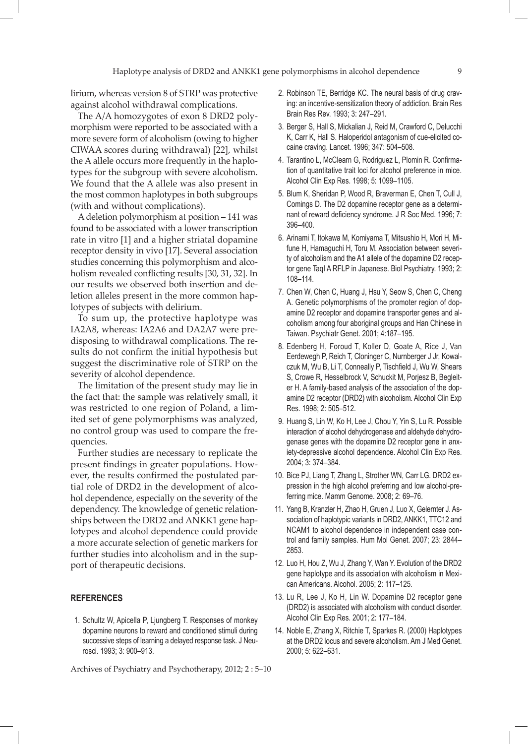lirium, whereas version 8 of STRP was protective against alcohol withdrawal complications.

The A/A homozygotes of exon 8 DRD2 polymorphism were reported to be associated with a more severe form of alcoholism (owing to higher CIWAA scores during withdrawal) [22], whilst the A allele occurs more frequently in the haplotypes for the subgroup with severe alcoholism. We found that the A allele was also present in the most common haplotypes in both subgroups (with and without complications).

A deletion polymorphism at position – 141 was found to be associated with a lower transcription rate in vitro [1] and a higher striatal dopamine receptor density in vivo [17]. Several association studies concerning this polymorphism and alcoholism revealed conflicting results [30, 31, 32]. In our results we observed both insertion and deletion alleles present in the more common haplotypes of subjects with delirium.

To sum up, the protective haplotype was IA2A8, whereas: IA2A6 and DA2A7 were predisposing to withdrawal complications. The results do not confirm the initial hypothesis but suggest the discriminative role of STRP on the severity of alcohol dependence.

The limitation of the present study may lie in the fact that: the sample was relatively small, it was restricted to one region of Poland, a limited set of gene polymorphisms was analyzed, no control group was used to compare the frequencies.

Further studies are necessary to replicate the present findings in greater populations. However, the results confirmed the postulated partial role of DRD2 in the development of alcohol dependence, especially on the severity of the dependency. The knowledge of genetic relationships between the DRD2 and ANKK1 gene haplotypes and alcohol dependence could provide a more accurate selection of genetic markers for further studies into alcoholism and in the support of therapeutic decisions.

## **REFERENCES**

 1. Schultz W, Apicella P, Ljungberg T. Responses of monkey dopamine neurons to reward and conditioned stimuli during successive steps of learning a delayed response task. J Neurosci. 1993; 3: 900–913.

Archives of Psychiatry and Psychotherapy, 2012; 2 : 5–10

- 2. Robinson TE, Berridge KC. The neural basis of drug craving: an incentive-sensitization theory of addiction. Brain Res Brain Res Rev. 1993; 3: 247–291.
- 3. Berger S, Hall S, Mickalian J, Reid M, Crawford C, Delucchi K, Carr K, Hall S. Haloperidol antagonism of cue-elicited cocaine craving. Lancet. 1996; 347: 504–508.
- 4. Tarantino L, McClearn G, Rodriguez L, Plomin R. Confirmation of quantitative trait loci for alcohol preference in mice. Alcohol Clin Exp Res. 1998; 5: 1099–1105.
- 5. Blum K, Sheridan P, Wood R, Braverman E, Chen T, Cull J, Comings D. The D2 dopamine receptor gene as a determinant of reward deficiency syndrome. J R Soc Med. 1996; 7: 396–400.
- 6. Arinami T, Itokawa M, Komiyama T, Mitsushio H, Mori H, Mifune H, Hamaguchi H, Toru M. Association between severity of alcoholism and the A1 allele of the dopamine D2 receptor gene TaqI A RFLP in Japanese. Biol Psychiatry. 1993; 2: 108–114.
- 7. Chen W, Chen C, Huang J, Hsu Y, Seow S, Chen C, Cheng A. Genetic polymorphisms of the promoter region of dopamine D2 receptor and dopamine transporter genes and alcoholism among four aboriginal groups and Han Chinese in Taiwan. Psychiatr Genet. 2001; 4:187–195.
- 8. Edenberg H, Foroud T, Koller D, Goate A, Rice J, Van Eerdewegh P, Reich T, Cloninger C, Nurnberger J Jr, Kowalczuk M, Wu B, Li T, Conneally P, Tischfield J, Wu W, Shears S, Crowe R, Hesselbrock V, Schuckit M, Porjesz B, Begleiter H. A family-based analysis of the association of the dopamine D2 receptor (DRD2) with alcoholism. Alcohol Clin Exp Res. 1998; 2: 505–512.
- 9. Huang S, Lin W, Ko H, Lee J, Chou Y, Yin S, Lu R. Possible interaction of alcohol dehydrogenase and aldehyde dehydrogenase genes with the dopamine D2 receptor gene in anxiety-depressive alcohol dependence. Alcohol Clin Exp Res. 2004; 3: 374–384.
- 10. Bice PJ, Liang T, Zhang L, Strother WN, Carr LG. DRD2 expression in the high alcohol preferring and low alcohol-preferring mice. Mamm Genome. 2008; 2: 69–76.
- 11. Yang B, Kranzler H, Zhao H, Gruen J, Luo X, Gelernter J. Association of haplotypic variants in DRD2, ANKK1, TTC12 and NCAM1 to alcohol dependence in independent case control and family samples. Hum Mol Genet. 2007; 23: 2844– 2853.
- 12. Luo H, Hou Z, Wu J, Zhang Y, Wan Y. Evolution of the DRD2 gene haplotype and its association with alcoholism in Mexican Americans. Alcohol. 2005; 2: 117–125.
- 13. Lu R, Lee J, Ko H, Lin W. Dopamine D2 receptor gene (DRD2) is associated with alcoholism with conduct disorder. Alcohol Clin Exp Res. 2001; 2: 177–184.
- 14. Noble E, Zhang X, Ritchie T, Sparkes R. (2000) Haplotypes at the DRD2 locus and severe alcoholism. Am J Med Genet. 2000; 5: 622–631.